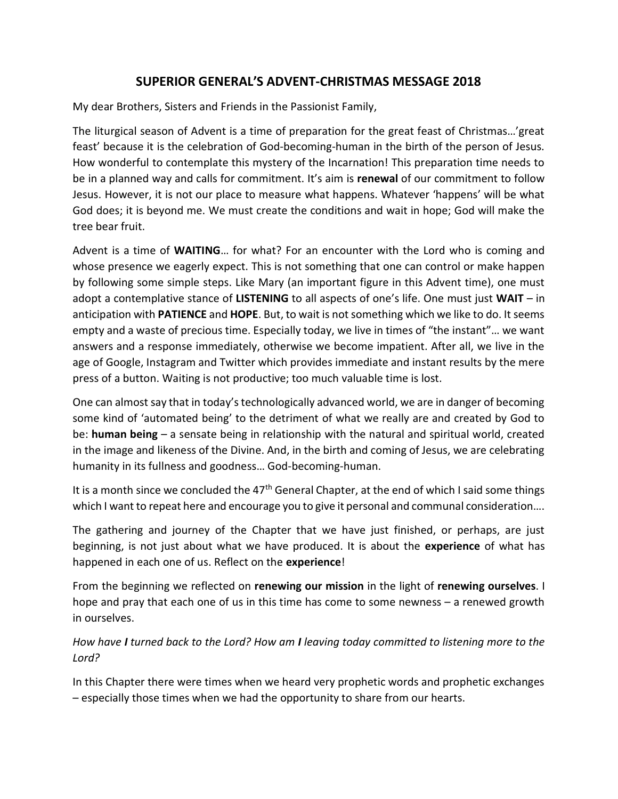## SUPERIOR GENERAL'S ADVENT-CHRISTMAS MESSAGE 2018

My dear Brothers, Sisters and Friends in the Passionist Family,

The liturgical season of Advent is a time of preparation for the great feast of Christmas…'great feast' because it is the celebration of God-becoming-human in the birth of the person of Jesus. How wonderful to contemplate this mystery of the Incarnation! This preparation time needs to be in a planned way and calls for commitment. It's aim is **renewal** of our commitment to follow Jesus. However, it is not our place to measure what happens. Whatever 'happens' will be what God does; it is beyond me. We must create the conditions and wait in hope; God will make the tree bear fruit.

Advent is a time of WAITING... for what? For an encounter with the Lord who is coming and whose presence we eagerly expect. This is not something that one can control or make happen by following some simple steps. Like Mary (an important figure in this Advent time), one must adopt a contemplative stance of LISTENING to all aspects of one's life. One must just WAIT – in anticipation with PATIENCE and HOPE. But, to wait is not something which we like to do. It seems empty and a waste of precious time. Especially today, we live in times of "the instant"… we want answers and a response immediately, otherwise we become impatient. After all, we live in the age of Google, Instagram and Twitter which provides immediate and instant results by the mere press of a button. Waiting is not productive; too much valuable time is lost.

One can almost say that in today's technologically advanced world, we are in danger of becoming some kind of 'automated being' to the detriment of what we really are and created by God to be: human being – a sensate being in relationship with the natural and spiritual world, created in the image and likeness of the Divine. And, in the birth and coming of Jesus, we are celebrating humanity in its fullness and goodness… God-becoming-human.

It is a month since we concluded the  $47<sup>th</sup>$  General Chapter, at the end of which I said some things which I want to repeat here and encourage you to give it personal and communal consideration....

The gathering and journey of the Chapter that we have just finished, or perhaps, are just beginning, is not just about what we have produced. It is about the experience of what has happened in each one of us. Reflect on the experience!

From the beginning we reflected on renewing our mission in the light of renewing ourselves. I hope and pray that each one of us in this time has come to some newness – a renewed growth in ourselves.

How have I turned back to the Lord? How am I leaving today committed to listening more to the Lord?

In this Chapter there were times when we heard very prophetic words and prophetic exchanges – especially those times when we had the opportunity to share from our hearts.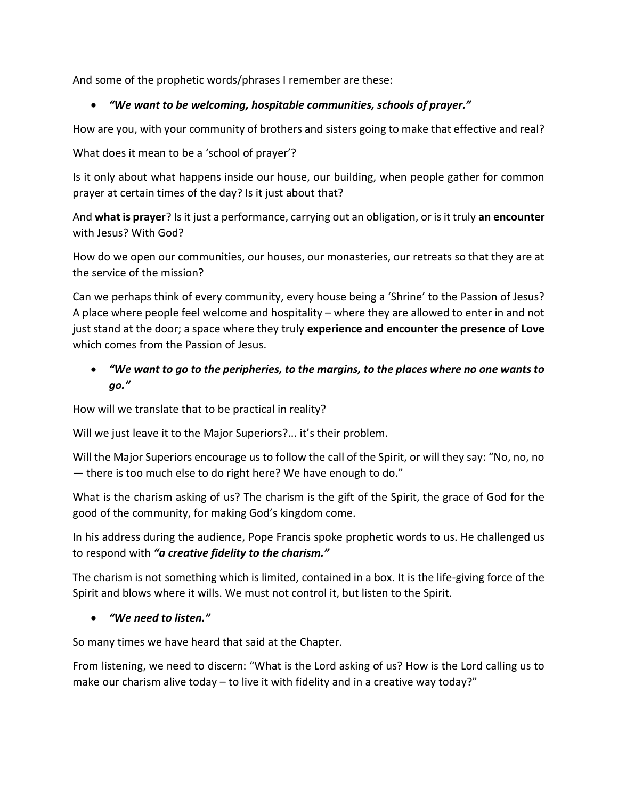And some of the prophetic words/phrases I remember are these:

## "We want to be welcoming, hospitable communities, schools of prayer."

How are you, with your community of brothers and sisters going to make that effective and real?

What does it mean to be a 'school of prayer'?

Is it only about what happens inside our house, our building, when people gather for common prayer at certain times of the day? Is it just about that?

And what is prayer? Is it just a performance, carrying out an obligation, or is it truly an encounter with Jesus? With God?

How do we open our communities, our houses, our monasteries, our retreats so that they are at the service of the mission?

Can we perhaps think of every community, every house being a 'Shrine' to the Passion of Jesus? A place where people feel welcome and hospitality – where they are allowed to enter in and not just stand at the door; a space where they truly experience and encounter the presence of Love which comes from the Passion of Jesus.

# "We want to go to the peripheries, to the margins, to the places where no one wants to go."

How will we translate that to be practical in reality?

Will we just leave it to the Major Superiors?... it's their problem.

Will the Major Superiors encourage us to follow the call of the Spirit, or will they say: "No, no, no — there is too much else to do right here? We have enough to do."

What is the charism asking of us? The charism is the gift of the Spirit, the grace of God for the good of the community, for making God's kingdom come.

In his address during the audience, Pope Francis spoke prophetic words to us. He challenged us to respond with "a creative fidelity to the charism."

The charism is not something which is limited, contained in a box. It is the life-giving force of the Spirit and blows where it wills. We must not control it, but listen to the Spirit.

#### "We need to listen."

So many times we have heard that said at the Chapter.

From listening, we need to discern: "What is the Lord asking of us? How is the Lord calling us to make our charism alive today  $-$  to live it with fidelity and in a creative way today?"